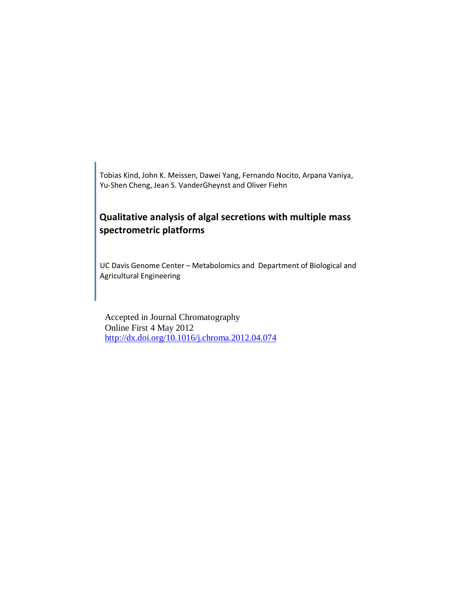Tobias Kind, John K. Meissen, Dawei Yang, Fernando Nocito, Arpana Vaniya, Yu-Shen Cheng, Jean S. VanderGheynst and Oliver Fiehn

# **Qualitative analysis of algal secretions with multiple mass spectrometric platforms**

UC Davis Genome Center – Metabolomics and Department of Biological and Agricultural Engineering

Accepted in Journal Chromatography Online First 4 May 2012 <http://dx.doi.org/10.1016/j.chroma.2012.04.074>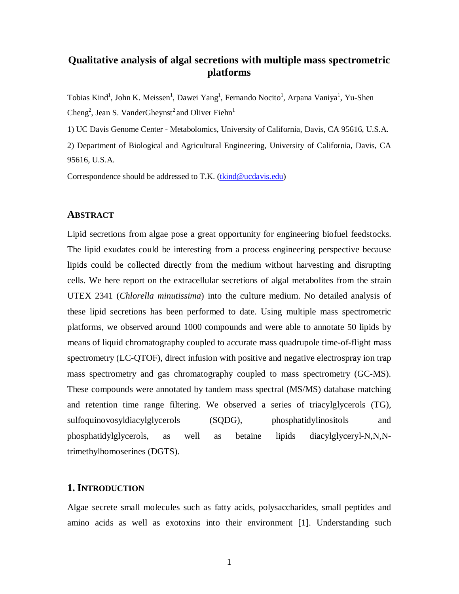# **Qualitative analysis of algal secretions with multiple mass spectrometric platforms**

Tobias Kind<sup>1</sup>, John K. Meissen<sup>1</sup>, Dawei Yang<sup>1</sup>, Fernando Nocito<sup>1</sup>, [Arpana Vaniya](http://fiehnlab.ucdavis.edu/staff/Vaniya/index_html)<sup>1</sup>, Yu-Shen Cheng<sup>2</sup>, Jean S. VanderGheynst<sup>2</sup> and Oliver Fiehn<sup>1</sup>

1) UC Davis Genome Center - Metabolomics, University of California, Davis, CA 95616, U.S.A.

2) Department of Biological and Agricultural Engineering, University of California, Davis, CA 95616, U.S.A.

Correspondence should be addressed to T.K. [\(tkind@ucdavis.edu\)](mailto:tkind@ucdavis.edu)

### **ABSTRACT**

Lipid secretions from algae pose a great opportunity for engineering biofuel feedstocks. The lipid exudates could be interesting from a process engineering perspective because lipids could be collected directly from the medium without harvesting and disrupting cells. We here report on the extracellular secretions of algal metabolites from the strain UTEX 2341 (*Chlorella minutissima*) into the culture medium. No detailed analysis of these lipid secretions has been performed to date. Using multiple mass spectrometric platforms, we observed around 1000 compounds and were able to annotate 50 lipids by means of liquid chromatography coupled to accurate mass quadrupole time-of-flight mass spectrometry (LC-QTOF), direct infusion with positive and negative electrospray ion trap mass spectrometry and gas chromatography coupled to mass spectrometry (GC-MS). These compounds were annotated by tandem mass spectral (MS/MS) database matching and retention time range filtering. We observed a series of triacylglycerols (TG), sulfoquinovosyldiacylglycerols (SQDG), phosphatidylinositols and phosphatidylglycerols, as well as betaine lipids diacylglyceryl-N,N,Ntrimethylhomoserines (DGTS).

## **1. INTRODUCTION**

Algae secrete small molecules such as fatty acids, polysaccharides, small peptides and amino acids as well as exotoxins into their environment [1]. Understanding such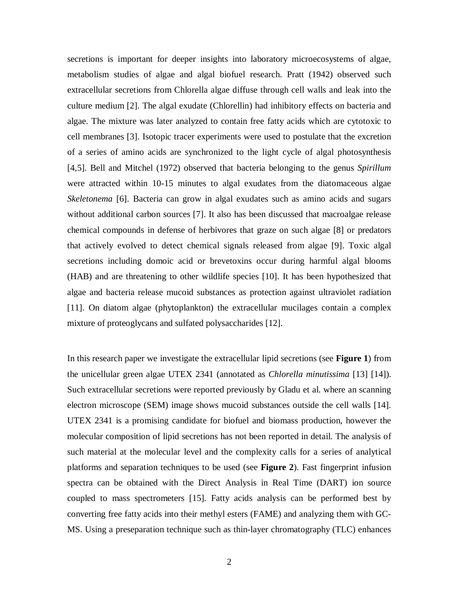secretions is important for deeper insights into laboratory microecosystems of algae, metabolism studies of algae and algal biofuel research. Pratt (1942) observed such extracellular secretions from Chlorella algae diffuse through cell walls and leak into the culture medium [2]. The algal exudate (Chlorellin) had inhibitory effects on bacteria and algae. The mixture was later analyzed to contain free fatty acids which are cytotoxic to cell membranes [3]. Isotopic tracer experiments were used to postulate that the excretion of a series of amino acids are synchronized to the light cycle of algal photosynthesis [4,5]. Bell and Mitchel (1972) observed that bacteria belonging to the genus *Spirillum*  were attracted within 10-15 minutes to algal exudates from the diatomaceous algae *Skeletonema* [6]. Bacteria can grow in algal exudates such as amino acids and sugars without additional carbon sources [7]. It also has been discussed that macroalgae release chemical compounds in defense of herbivores that graze on such algae [8] or predators that actively evolved to detect chemical signals released from algae [9]. Toxic algal secretions including domoic acid or brevetoxins occur during harmful algal blooms (HAB) and are threatening to other wildlife species [10]. It has been hypothesized that algae and bacteria release mucoid substances as protection against ultraviolet radiation [11]. On diatom algae (phytoplankton) the extracellular mucilages contain a complex mixture of proteoglycans and sulfated polysaccharides [12].

In this research paper we investigate the extracellular lipid secretions (see **Figure 1**) from the unicellular green algae UTEX 2341 (annotated as *Chlorella minutissima* [13] [14]). Such extracellular secretions were reported previously by Gladu et al. where an scanning electron microscope (SEM) image shows mucoid substances outside the cell walls [14]. UTEX 2341 is a promising candidate for biofuel and biomass production, however the molecular composition of lipid secretions has not been reported in detail. The analysis of such material at the molecular level and the complexity calls for a series of analytical platforms and separation techniques to be used (see **Figure 2**). Fast fingerprint infusion spectra can be obtained with the Direct Analysis in Real Time (DART) ion source coupled to mass spectrometers [15]. Fatty acids analysis can be performed best by converting free fatty acids into their methyl esters (FAME) and analyzing them with GC-MS. Using a preseparation technique such as thin-layer chromatography (TLC) enhances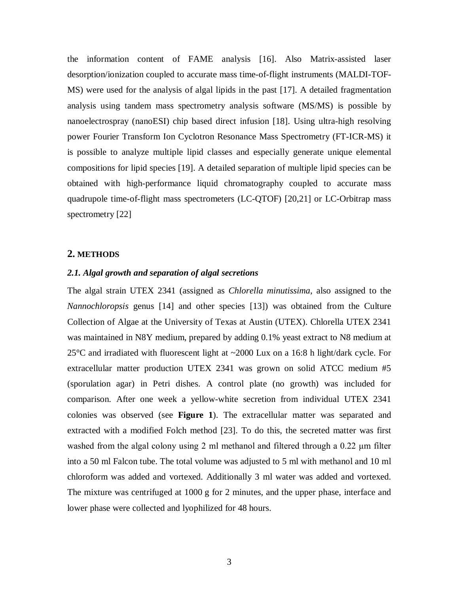the information content of FAME analysis [16]. Also Matrix-assisted laser desorption/ionization coupled to accurate mass time-of-flight instruments (MALDI-TOF-MS) were used for the analysis of algal lipids in the past [17]. A detailed fragmentation analysis using tandem mass spectrometry analysis software (MS/MS) is possible by nanoelectrospray (nanoESI) chip based direct infusion [18]. Using ultra-high resolving power Fourier Transform Ion Cyclotron Resonance Mass Spectrometry (FT-ICR-MS) it is possible to analyze multiple lipid classes and especially generate unique elemental compositions for lipid species [19]. A detailed separation of multiple lipid species can be obtained with high-performance liquid chromatography coupled to accurate mass quadrupole time-of-flight mass spectrometers (LC-QTOF) [20,21] or LC-Orbitrap mass spectrometry [22]

#### **2. METHODS**

#### *2.1. Algal growth and separation of algal secretions*

The algal strain UTEX 2341 (assigned as *Chlorella minutissima*, also assigned to the *Nannochloropsis* genus [14] and other species [13]) was obtained from the Culture Collection of Algae at the University of Texas at Austin (UTEX). Chlorella UTEX 2341 was maintained in N8Y medium, prepared by adding 0.1% yeast extract to N8 medium at 25°C and irradiated with fluorescent light at ~2000 Lux on a 16:8 h light/dark cycle. For extracellular matter production UTEX 2341 was grown on solid ATCC medium #5 (sporulation agar) in Petri dishes. A control plate (no growth) was included for comparison. After one week a yellow-white secretion from individual UTEX 2341 colonies was observed (see **Figure 1**). The extracellular matter was separated and extracted with a modified Folch method [23]. To do this, the secreted matter was first washed from the algal colony using 2 ml methanol and filtered through a 0.22 μm filter into a 50 ml Falcon tube. The total volume was adjusted to 5 ml with methanol and 10 ml chloroform was added and vortexed. Additionally 3 ml water was added and vortexed. The mixture was centrifuged at 1000 g for 2 minutes, and the upper phase, interface and lower phase were collected and lyophilized for 48 hours.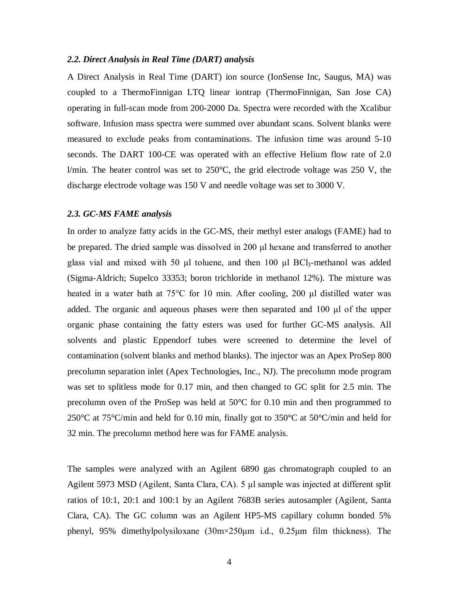#### *2.2. Direct Analysis in Real Time (DART) analysis*

A Direct Analysis in Real Time (DART) ion source (IonSense Inc, Saugus, MA) was coupled to a ThermoFinnigan LTQ linear iontrap (ThermoFinnigan, San Jose CA) operating in full-scan mode from 200-2000 Da. Spectra were recorded with the Xcalibur software. Infusion mass spectra were summed over abundant scans. Solvent blanks were measured to exclude peaks from contaminations. The infusion time was around 5-10 seconds. The DART 100-CE was operated with an effective Helium flow rate of 2.0 l/min. The heater control was set to 250°C, the grid electrode voltage was 250 V, the discharge electrode voltage was 150 V and needle voltage was set to 3000 V.

#### *2.3. GC-MS FAME analysis*

In order to analyze fatty acids in the GC-MS, their methyl ester analogs (FAME) had to be prepared. The dried sample was dissolved in 200 μl hexane and transferred to another glass vial and mixed with 50 μl toluene, and then 100 μl BCl3-methanol was added (Sigma-Aldrich; Supelco 33353; [boron trichloride](http://www.sigmaaldrich.com/catalog/ProductDetail.do?lang=en&N4=CB_000465%7CSUPELCO&N5=SEARCH_CONCAT_PNO%7CBRAND_KEY&F=SPEC) in methanol 12%). The mixture was heated in a water bath at 75°C for 10 min. After cooling, 200 μl distilled water was added. The organic and aqueous phases were then separated and 100 μl of the upper organic phase containing the fatty esters was used for further GC-MS analysis. All solvents and plastic Eppendorf tubes were screened to determine the level of contamination (solvent blanks and method blanks). The injector was an Apex ProSep 800 precolumn separation inlet (Apex Technologies, Inc., NJ). The precolumn mode program was set to splitless mode for 0.17 min, and then changed to GC split for 2.5 min. The precolumn oven of the ProSep was held at 50°C for 0.10 min and then programmed to 250 $^{\circ}$ C at 75 $^{\circ}$ C/min and held for 0.10 min, finally got to 350 $^{\circ}$ C at 50 $^{\circ}$ C/min and held for 32 min. The precolumn method here was for FAME analysis.

The samples were analyzed with an Agilent 6890 gas chromatograph coupled to an Agilent 5973 MSD (Agilent, Santa Clara, CA). 5 μl sample was injected at different split ratios of 10:1, 20:1 and 100:1 by an Agilent 7683B series autosampler (Agilent, Santa Clara, CA). The GC column was an Agilent HP5-MS capillary column bonded 5% phenyl, 95% dimethylpolysiloxane (30m×250μm i.d., 0.25μm film thickness). The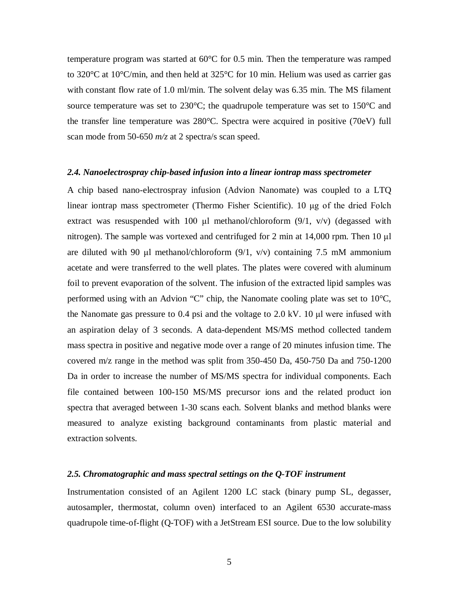temperature program was started at 60°C for 0.5 min. Then the temperature was ramped to 320 $\degree$ C at 10 $\degree$ C/min, and then held at 325 $\degree$ C for 10 min. Helium was used as carrier gas with constant flow rate of 1.0 ml/min. The solvent delay was 6.35 min. The MS filament source temperature was set to 230 $^{\circ}$ C; the quadrupole temperature was set to 150 $^{\circ}$ C and the transfer line temperature was 280°C. Spectra were acquired in positive (70eV) full scan mode from 50-650 *m/z* at 2 spectra/s scan speed.

#### *2.4. Nanoelectrospray chip-based infusion into a linear iontrap mass spectrometer*

A chip based nano-electrospray infusion (Advion Nanomate) was coupled to a LTQ linear iontrap mass spectrometer (Thermo Fisher Scientific). 10 μg of the dried Folch extract was resuspended with 100 μl methanol/chloroform  $(9/1, v/v)$  (degassed with nitrogen). The sample was vortexed and centrifuged for 2 min at 14,000 rpm. Then 10 μl are diluted with 90 μl methanol/chloroform  $(9/1, v/v)$  containing 7.5 mM ammonium acetate and were transferred to the well plates. The plates were covered with aluminum foil to prevent evaporation of the solvent. The infusion of the extracted lipid samples was performed using with an Advion "C" chip, the Nanomate cooling plate was set to 10°C, the Nanomate gas pressure to 0.4 psi and the voltage to 2.0 kV. 10 μl were infused with an aspiration delay of 3 seconds. A data-dependent MS/MS method collected tandem mass spectra in positive and negative mode over a range of 20 minutes infusion time. The covered m/z range in the method was split from 350-450 Da, 450-750 Da and 750-1200 Da in order to increase the number of MS/MS spectra for individual components. Each file contained between 100-150 MS/MS precursor ions and the related product ion spectra that averaged between 1-30 scans each. Solvent blanks and method blanks were measured to analyze existing background contaminants from plastic material and extraction solvents.

#### *2.5. Chromatographic and mass spectral settings on the Q-TOF instrument*

Instrumentation consisted of an Agilent 1200 LC stack (binary pump SL, degasser, autosampler, thermostat, column oven) interfaced to an Agilent 6530 accurate-mass quadrupole time-of-flight (Q-TOF) with a JetStream ESI source. Due to the low solubility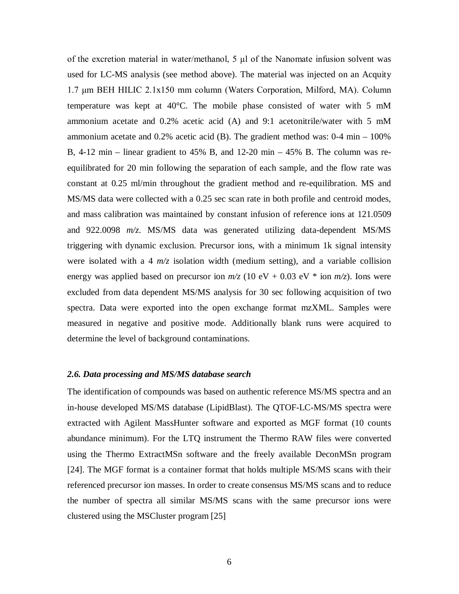of the excretion material in water/methanol, 5 μl of the Nanomate infusion solvent was used for LC-MS analysis (see method above). The material was injected on an Acquity 1.7 μm BEH HILIC 2.1x150 mm column (Waters Corporation, Milford, MA). Column temperature was kept at  $40^{\circ}$ C. The mobile phase consisted of water with 5 mM ammonium acetate and 0.2% acetic acid (A) and 9:1 acetonitrile/water with 5 mM ammonium acetate and  $0.2\%$  acetic acid (B). The gradient method was:  $0-4$  min  $-100\%$ B,  $4-12$  min – linear gradient to  $45\%$  B, and  $12-20$  min –  $45\%$  B. The column was reequilibrated for 20 min following the separation of each sample, and the flow rate was constant at 0.25 ml/min throughout the gradient method and re-equilibration. MS and MS/MS data were collected with a 0.25 sec scan rate in both profile and centroid modes, and mass calibration was maintained by constant infusion of reference ions at 121.0509 and 922.0098 *m/z*. MS/MS data was generated utilizing data-dependent MS/MS triggering with dynamic exclusion. Precursor ions, with a minimum 1k signal intensity were isolated with a 4  $m/z$  isolation width (medium setting), and a variable collision energy was applied based on precursor ion  $m/z$  (10 eV + 0.03 eV  $*$  ion  $m/z$ ). Ions were excluded from data dependent MS/MS analysis for 30 sec following acquisition of two spectra. Data were exported into the open exchange format mzXML. Samples were measured in negative and positive mode. Additionally blank runs were acquired to determine the level of background contaminations.

#### *2.6. Data processing and MS/MS database search*

The identification of compounds was based on authentic reference MS/MS spectra and an in-house developed MS/MS database (LipidBlast). The QTOF-LC-MS/MS spectra were extracted with Agilent MassHunter software and exported as MGF format (10 counts abundance minimum). For the LTQ instrument the Thermo RAW files were converted using the Thermo ExtractMSn software and the freely available DeconMSn program [24]. The MGF format is a container format that holds multiple MS/MS scans with their referenced precursor ion masses. In order to create consensus MS/MS scans and to reduce the number of spectra all similar MS/MS scans with the same precursor ions were clustered using the MSCluster program [25]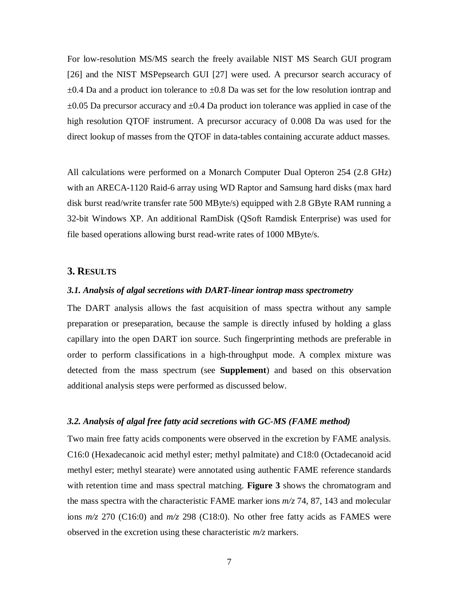For low-resolution MS/MS search the freely available NIST MS Search GUI program [26] and the NIST MSPepsearch GUI [27] were used. A precursor search accuracy of  $\pm 0.4$  Da and a product ion tolerance to  $\pm 0.8$  Da was set for the low resolution iontrap and  $\pm 0.05$  Da precursor accuracy and  $\pm 0.4$  Da product ion tolerance was applied in case of the high resolution QTOF instrument. A precursor accuracy of 0.008 Da was used for the direct lookup of masses from the QTOF in data-tables containing accurate adduct masses.

All calculations were performed on a Monarch Computer Dual Opteron 254 (2.8 GHz) with an ARECA-1120 Raid-6 array using WD Raptor and Samsung hard disks (max hard disk burst read/write transfer rate 500 MByte/s) equipped with 2.8 GByte RAM running a 32-bit Windows XP. An additional RamDisk (QSoft Ramdisk Enterprise) was used for file based operations allowing burst read-write rates of 1000 MByte/s.

#### **3. RESULTS**

#### *3.1. Analysis of algal secretions with DART-linear iontrap mass spectrometry*

The DART analysis allows the fast acquisition of mass spectra without any sample preparation or preseparation, because the sample is directly infused by holding a glass capillary into the open DART ion source. Such fingerprinting methods are preferable in order to perform classifications in a high-throughput mode. A complex mixture was detected from the mass spectrum (see **Supplement**) and based on this observation additional analysis steps were performed as discussed below.

#### *3.2. Analysis of algal free fatty acid secretions with GC-MS (FAME method)*

Two main free fatty acids components were observed in the excretion by FAME analysis. C16:0 (Hexadecanoic acid methyl ester; methyl palmitate) and C18:0 (Octadecanoid acid methyl ester; methyl stearate) were annotated using authentic FAME reference standards with retention time and mass spectral matching. **Figure 3** shows the chromatogram and the mass spectra with the characteristic FAME marker ions *m/z* 74, 87, 143 and molecular ions *m/z* 270 (C16:0) and *m/z* 298 (C18:0). No other free fatty acids as FAMES were observed in the excretion using these characteristic *m/z* markers.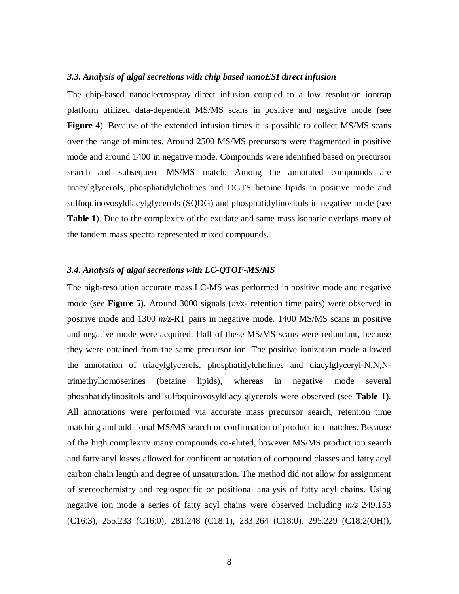#### *3.3. Analysis of algal secretions with chip based nanoESI direct infusion*

The chip-based nanoelectrospray direct infusion coupled to a low resolution iontrap platform utilized data-dependent MS/MS scans in positive and negative mode (see **Figure 4**). Because of the extended infusion times it is possible to collect MS/MS scans over the range of minutes. Around 2500 MS/MS precursors were fragmented in positive mode and around 1400 in negative mode. Compounds were identified based on precursor search and subsequent MS/MS match. Among the annotated compounds are triacylglycerols, phosphatidylcholines and DGTS betaine lipids in positive mode and sulfoquinovosyldiacylglycerols (SQDG) and phosphatidylinositols in negative mode (see **Table 1**). Due to the complexity of the exudate and same mass isobaric overlaps many of the tandem mass spectra represented mixed compounds.

### *3.4. Analysis of algal secretions with LC-QTOF-MS/MS*

The high-resolution accurate mass LC-MS was performed in positive mode and negative mode (see **Figure 5**). Around 3000 signals (*m/z*- retention time pairs) were observed in positive mode and 1300 *m/z*-RT pairs in negative mode. 1400 MS/MS scans in positive and negative mode were acquired. Half of these MS/MS scans were redundant, because they were obtained from the same precursor ion. The positive ionization mode allowed the annotation of triacylglycerols, phosphatidylcholines and diacylglyceryl-N,N,Ntrimethylhomoserines (betaine lipids), whereas in negative mode several phosphatidylinositols and sulfoquinovosyldiacylglycerols were observed (see **Table 1**). All annotations were performed via accurate mass precursor search, retention time matching and additional MS/MS search or confirmation of product ion matches. Because of the high complexity many compounds co-eluted, however MS/MS product ion search and fatty acyl losses allowed for confident annotation of compound classes and fatty acyl carbon chain length and degree of unsaturation. The method did not allow for assignment of stereochemistry and regiospecific or positional analysis of fatty acyl chains. Using negative ion mode a series of fatty acyl chains were observed including *m/z* 249.153 (C16:3), 255.233 (C16:0), 281.248 (C18:1), 283.264 (C18:0), 295.229 (C18:2(OH)),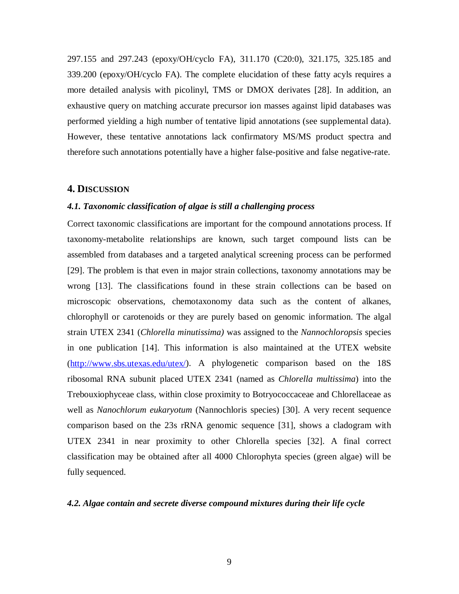297.155 and 297.243 (epoxy/OH/cyclo FA), 311.170 (C20:0), 321.175, 325.185 and 339.200 (epoxy/OH/cyclo FA). The complete elucidation of these fatty acyls requires a more detailed analysis with picolinyl, TMS or DMOX derivates [28]. In addition, an exhaustive query on matching accurate precursor ion masses against lipid databases was performed yielding a high number of tentative lipid annotations (see supplemental data). However, these tentative annotations lack confirmatory MS/MS product spectra and therefore such annotations potentially have a higher false-positive and false negative-rate.

### **4. DISCUSSION**

### *4.1. Taxonomic classification of algae is still a challenging process*

Correct taxonomic classifications are important for the compound annotations process. If taxonomy-metabolite relationships are known, such target compound lists can be assembled from databases and a targeted analytical screening process can be performed [29]. The problem is that even in major strain collections, taxonomy annotations may be wrong [13]. The classifications found in these strain collections can be based on microscopic observations, chemotaxonomy data such as the content of alkanes, chlorophyll or carotenoids or they are purely based on genomic information. The algal strain UTEX 2341 (*Chlorella minutissima)* was assigned to the *Nannochloropsis* species in one publication [14]. This information is also maintained at the UTEX website [\(http://www.sbs.utexas.edu/utex/\)](http://www.sbs.utexas.edu/utex/). A phylogenetic comparison based on the 18S ribosomal RNA subunit placed UTEX 2341 (named as *Chlorella multissima*) into the Trebouxiophyceae class, within close proximity to [Botryococcaceae](http://www.ncbi.nlm.nih.gov/Taxonomy/Browser/wwwtax.cgi?mode=Tree&id=38879&lvl=3&lin=f&keep=1&srchmode=1&unlock) and [Chlorellaceae](http://www.ncbi.nlm.nih.gov/Taxonomy/Browser/wwwtax.cgi?mode=Tree&id=35461&lvl=3&lin=f&keep=1&srchmode=1&unlock) as well as *Nanochlorum eukaryotum* (Nannochloris species) [30]. A very recent sequence comparison based on the 23s rRNA genomic sequence [31], shows a cladogram with UTEX 2341 in near proximity to other Chlorella species [32]. A final correct classification may be obtained after all 4000 [Chlorophyta](http://www.ncbi.nlm.nih.gov/Taxonomy/Browser/wwwtax.cgi?mode=Info&id=3041&lvl=3&lin=f&keep=1&srchmode=1&unlock) species (green algae) will be fully sequenced.

#### *4.2. Algae contain and secrete diverse compound mixtures during their life cycle*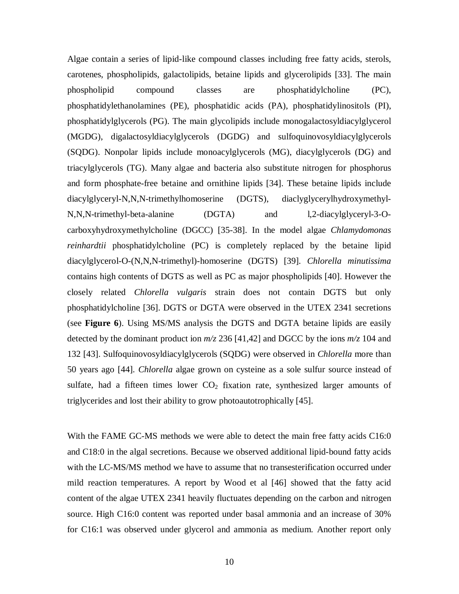Algae contain a series of lipid-like compound classes including free fatty acids, sterols, carotenes, phospholipids, galactolipids, betaine lipids and glycerolipids [33]. The main phospholipid compound classes are phosphatidylcholine (PC), phosphatidylethanolamines (PE), phosphatidic acids (PA), phosphatidylinositols (PI), phosphatidylglycerols (PG). The main glycolipids include monogalactosyldiacylglycerol (MGDG), digalactosyldiacylglycerols (DGDG) and sulfoquinovosyldiacylglycerols (SQDG). Nonpolar lipids include monoacylglycerols (MG), diacylglycerols (DG) and triacylglycerols (TG). Many algae and bacteria also substitute nitrogen for phosphorus and form phosphate-free betaine and ornithine lipids [34]. These betaine lipids include diacylglyceryl-N,N,N-trimethylhomoserine (DGTS), diaclyglycerylhydroxymethyl-N,N,N-trimethyl-beta-alanine (DGTA) and l,2-diacylglyceryl-3-Ocarboxyhydroxymethylcholine (DGCC) [35-38]. In the model algae *Chlamydomonas reinhardtii* phosphatidylcholine (PC) is completely replaced by the betaine lipid diacylglycerol-O-(N,N,N-trimethyl)-homoserine (DGTS) [39]. *Chlorella minutissima* contains high contents of DGTS as well as PC as major phospholipids [40]. However the closely related *Chlorella vulgaris* strain does not contain DGTS but only phosphatidylcholine [36]. DGTS or DGTA were observed in the UTEX 2341 secretions (see **Figure 6**). Using MS/MS analysis the DGTS and DGTA betaine lipids are easily detected by the dominant product ion  $m/z$  236 [41,42] and DGCC by the ions  $m/z$  104 and 132 [43]. Sulfoquinovosyldiacylglycerols (SQDG) were observed in *Chlorella* more than 50 years ago [44]. *Chlorella* algae grown on cysteine as a sole sulfur source instead of sulfate, had a fifteen times lower  $CO<sub>2</sub>$  fixation rate, synthesized larger amounts of triglycerides and lost their ability to grow photoautotrophically [45].

With the FAME GC-MS methods we were able to detect the main free fatty acids C16:0 and C18:0 in the algal secretions. Because we observed additional lipid-bound fatty acids with the LC-MS/MS method we have to assume that no transesterification occurred under mild reaction temperatures. A report by Wood et al [46] showed that the fatty acid content of the algae UTEX 2341 heavily fluctuates depending on the carbon and nitrogen source. High C16:0 content was reported under basal ammonia and an increase of 30% for C16:1 was observed under glycerol and ammonia as medium. Another report only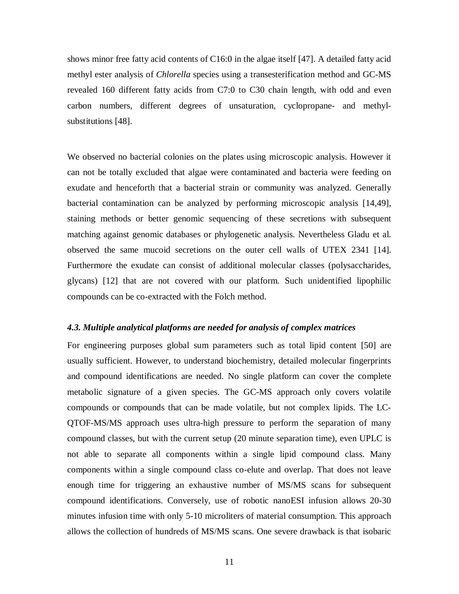shows minor free fatty acid contents of C16:0 in the algae itself [47]. A detailed fatty acid methyl ester analysis of *Chlorella* species using a transesterification method and GC-MS revealed 160 different fatty acids from C7:0 to C30 chain length, with odd and even carbon numbers, different degrees of unsaturation, cyclopropane- and methylsubstitutions [48].

We observed no bacterial colonies on the plates using microscopic analysis. However it can not be totally excluded that algae were contaminated and bacteria were feeding on exudate and henceforth that a bacterial strain or community was analyzed. Generally bacterial contamination can be analyzed by performing microscopic analysis [14,49], staining methods or better genomic sequencing of these secretions with subsequent matching against genomic databases or phylogenetic analysis. Nevertheless Gladu et al. observed the same mucoid secretions on the outer cell walls of UTEX 2341 [14]. Furthermore the exudate can consist of additional molecular classes (polysaccharides, glycans) [12] that are not covered with our platform. Such unidentified lipophilic compounds can be co-extracted with the Folch method.

#### *4.3. Multiple analytical platforms are needed for analysis of complex matrices*

For engineering purposes global sum parameters such as total lipid content [50] are usually sufficient. However, to understand biochemistry, detailed molecular fingerprints and compound identifications are needed. No single platform can cover the complete metabolic signature of a given species. The GC-MS approach only covers volatile compounds or compounds that can be made volatile, but not complex lipids. The LC-QTOF-MS/MS approach uses ultra-high pressure to perform the separation of many compound classes, but with the current setup (20 minute separation time), even UPLC is not able to separate all components within a single lipid compound class. Many components within a single compound class co-elute and overlap. That does not leave enough time for triggering an exhaustive number of MS/MS scans for subsequent compound identifications. Conversely, use of robotic nanoESI infusion allows 20-30 minutes infusion time with only 5-10 microliters of material consumption. This approach allows the collection of hundreds of MS/MS scans. One severe drawback is that isobaric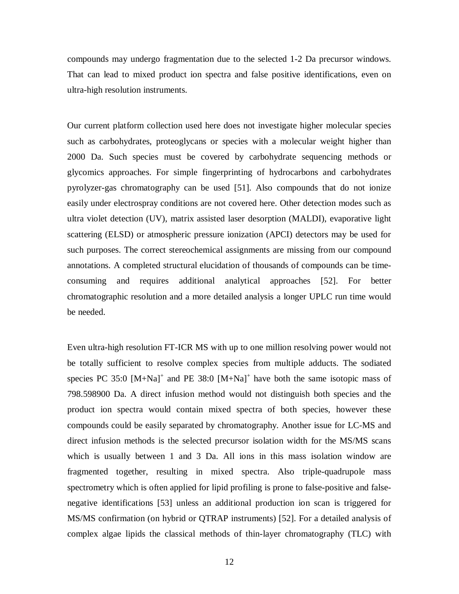compounds may undergo fragmentation due to the selected 1-2 Da precursor windows. That can lead to mixed product ion spectra and false positive identifications, even on ultra-high resolution instruments.

Our current platform collection used here does not investigate higher molecular species such as carbohydrates, proteoglycans or species with a molecular weight higher than 2000 Da. Such species must be covered by carbohydrate sequencing methods or glycomics approaches. For simple fingerprinting of hydrocarbons and carbohydrates pyrolyzer-gas chromatography can be used [51]. Also compounds that do not ionize easily under electrospray conditions are not covered here. Other detection modes such as ultra violet detection (UV), matrix assisted laser desorption (MALDI), evaporative light scattering (ELSD) or atmospheric pressure ionization (APCI) detectors may be used for such purposes. The correct stereochemical assignments are missing from our compound annotations. A completed structural elucidation of thousands of compounds can be timeconsuming and requires additional analytical approaches [52]. For better chromatographic resolution and a more detailed analysis a longer UPLC run time would be needed.

Even ultra-high resolution FT-ICR MS with up to one million resolving power would not be totally sufficient to resolve complex species from multiple adducts. The sodiated species PC 35:0  $[M+Na]^+$  and PE 38:0  $[M+Na]^+$  have both the same isotopic mass of 798.598900 Da. A direct infusion method would not distinguish both species and the product ion spectra would contain mixed spectra of both species, however these compounds could be easily separated by chromatography. Another issue for LC-MS and direct infusion methods is the selected precursor isolation width for the MS/MS scans which is usually between 1 and 3 Da. All ions in this mass isolation window are fragmented together, resulting in mixed spectra. Also triple-quadrupole mass spectrometry which is often applied for lipid profiling is prone to false-positive and falsenegative identifications [53] unless an additional production ion scan is triggered for MS/MS confirmation (on hybrid or QTRAP instruments) [52]. For a detailed analysis of complex algae lipids the classical methods of thin-layer chromatography (TLC) with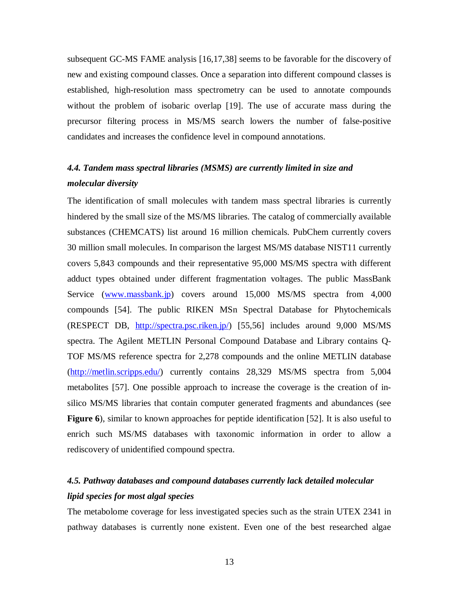subsequent GC-MS FAME analysis [16,17,38] seems to be favorable for the discovery of new and existing compound classes. Once a separation into different compound classes is established, high-resolution mass spectrometry can be used to annotate compounds without the problem of isobaric overlap [19]. The use of accurate mass during the precursor filtering process in MS/MS search lowers the number of false-positive candidates and increases the confidence level in compound annotations.

# *4.4. Tandem mass spectral libraries (MSMS) are currently limited in size and molecular diversity*

The identification of small molecules with tandem mass spectral libraries is currently hindered by the small size of the MS/MS libraries. The catalog of commercially available substances (CHEMCATS) list around 16 million chemicals. PubChem currently covers 30 million small molecules. In comparison the largest MS/MS database NIST11 currently covers 5,843 compounds and their representative 95,000 MS/MS spectra with different adduct types obtained under different fragmentation voltages. The public MassBank Service [\(www.massbank.jp\)](http://www.massbank.jp/) covers around 15,000 MS/MS spectra from 4,000 compounds [54]. The public RIKEN MSn Spectral Database for Phytochemicals (RESPECT DB, [http://spectra.psc.riken.jp/\)](http://spectra.psc.riken.jp/) [55,56] includes around 9,000 MS/MS spectra. The Agilent METLIN Personal Compound Database and Library contains Q-TOF MS/MS reference spectra for 2,278 compounds and the online METLIN database [\(http://metlin.scripps.edu/\)](http://metlin.scripps.edu/) currently contains 28,329 MS/MS spectra from 5,004 metabolites [57]. One possible approach to increase the coverage is the creation of insilico MS/MS libraries that contain computer generated fragments and abundances (see **Figure 6**), similar to known approaches for peptide identification [52]. It is also useful to enrich such MS/MS databases with taxonomic information in order to allow a rediscovery of unidentified compound spectra.

# *4.5. Pathway databases and compound databases currently lack detailed molecular lipid species for most algal species*

The metabolome coverage for less investigated species such as the strain UTEX 2341 in pathway databases is currently none existent. Even one of the best researched algae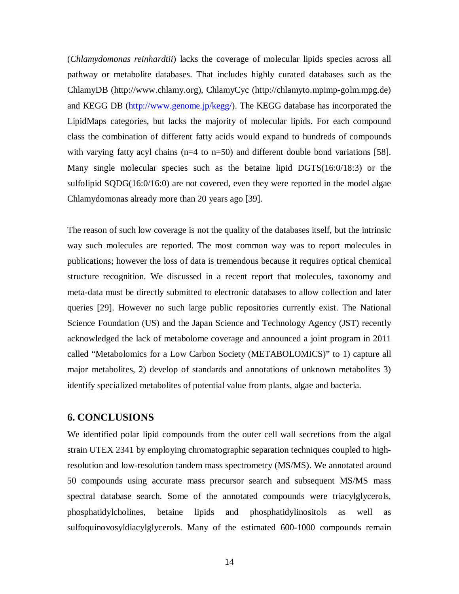(*Chlamydomonas reinhardtii*) lacks the coverage of molecular lipids species across all pathway or metabolite databases. That includes highly curated databases such as the ChlamyDB (http://www.chlamy.org), ChlamyCyc (http://chlamyto.mpimp-golm.mpg.de) and KEGG DB [\(http://www.genome.jp/kegg/\)](http://www.genome.jp/kegg/). The KEGG database has incorporated the LipidMaps categories, but lacks the majority of molecular lipids. For each compound class the combination of different fatty acids would expand to hundreds of compounds with varying fatty acyl chains  $(n=4 \text{ to } n=50)$  and different double bond variations [58]. Many single molecular species such as the betaine lipid DGTS(16:0/18:3) or the sulfolipid SQDG(16:0/16:0) are not covered, even they were reported in the model algae Chlamydomonas already more than 20 years ago [39].

The reason of such low coverage is not the quality of the databases itself, but the intrinsic way such molecules are reported. The most common way was to report molecules in publications; however the loss of data is tremendous because it requires optical chemical structure recognition. We discussed in a recent report that molecules, taxonomy and meta-data must be directly submitted to electronic databases to allow collection and later queries [29]. However no such large public repositories currently exist. The National Science Foundation (US) and the Japan Science and Technology Agency (JST) recently acknowledged the lack of metabolome coverage and announced a joint program in 2011 called "Metabolomics for a Low Carbon Society (METABOLOMICS)" to 1) capture all major metabolites, 2) develop of standards and annotations of unknown metabolites 3) identify specialized metabolites of potential value from plants, algae and bacteria.

## **6. CONCLUSIONS**

We identified polar lipid compounds from the outer cell wall secretions from the algal strain UTEX 2341 by employing chromatographic separation techniques coupled to highresolution and low-resolution tandem mass spectrometry (MS/MS). We annotated around 50 compounds using accurate mass precursor search and subsequent MS/MS mass spectral database search. Some of the annotated compounds were triacylglycerols, phosphatidylcholines, betaine lipids and phosphatidylinositols as well as sulfoquinovosyldiacylglycerols. Many of the estimated 600-1000 compounds remain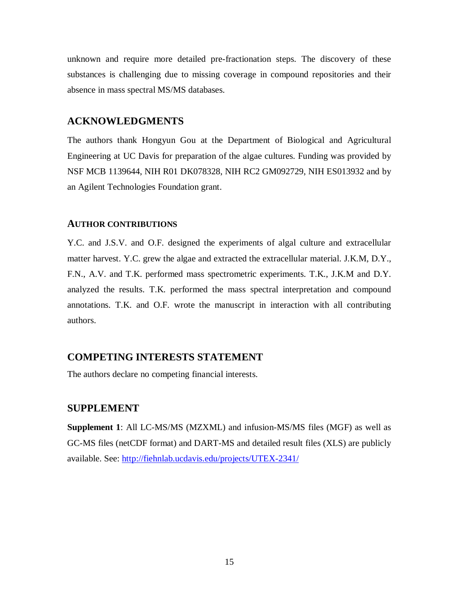unknown and require more detailed pre-fractionation steps. The discovery of these substances is challenging due to missing coverage in compound repositories and their absence in mass spectral MS/MS databases.

# **ACKNOWLEDGMENTS**

The authors thank Hongyun Gou at the Department of Biological and Agricultural Engineering at UC Davis for preparation of the algae cultures. Funding was provided by NSF MCB 1139644, NIH R01 DK078328, NIH RC2 GM092729, NIH ES013932 and by an Agilent Technologies Foundation grant.

## **AUTHOR CONTRIBUTIONS**

Y.C. and J.S.V. and O.F. designed the experiments of algal culture and extracellular matter harvest. Y.C. grew the algae and extracted the extracellular material. J.K.M, D.Y., F.N., A.V. and T.K. performed mass spectrometric experiments. T.K., J.K.M and D.Y. analyzed the results. T.K. performed the mass spectral interpretation and compound annotations. T.K. and O.F. wrote the manuscript in interaction with all contributing authors.

## **COMPETING INTERESTS STATEMENT**

The authors declare no competing financial interests.

## **SUPPLEMENT**

**Supplement 1**: All LC-MS/MS (MZXML) and infusion-MS/MS files (MGF) as well as GC-MS files (netCDF format) and DART-MS and detailed result files (XLS) are publicly available. See:<http://fiehnlab.ucdavis.edu/projects/UTEX-2341/>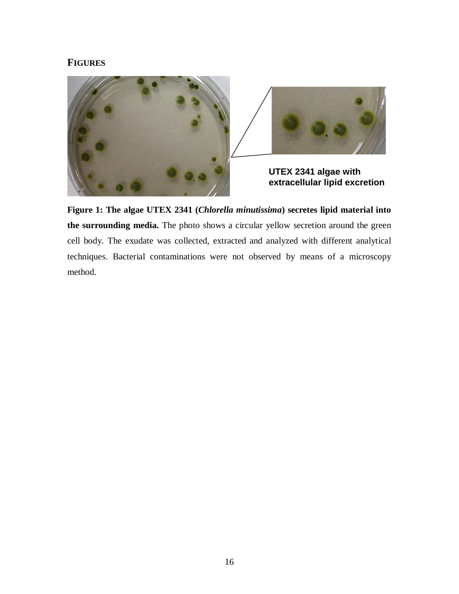## **FIGURES**



**Figure 1: The algae UTEX 2341 (***Chlorella minutissima***) secretes lipid material into the surrounding media.** The photo shows a circular yellow secretion around the green cell body. The exudate was collected, extracted and analyzed with different analytical techniques. Bacterial contaminations were not observed by means of a microscopy method.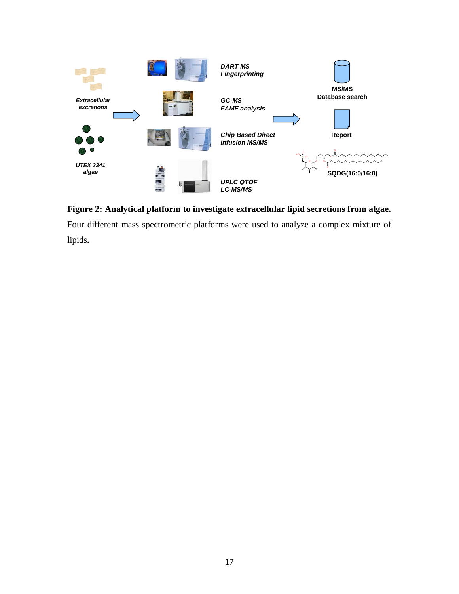

**Figure 2: Analytical platform to investigate extracellular lipid secretions from algae.**  Four different mass spectrometric platforms were used to analyze a complex mixture of lipids**.**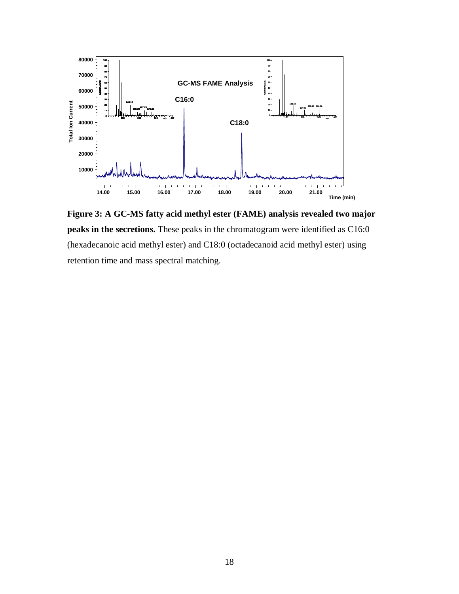

**Figure 3: A GC-MS fatty acid methyl ester (FAME) analysis revealed two major peaks in the secretions.** These peaks in the chromatogram were identified as C16:0 (hexadecanoic acid methyl ester) and C18:0 (octadecanoid acid methyl ester) using retention time and mass spectral matching.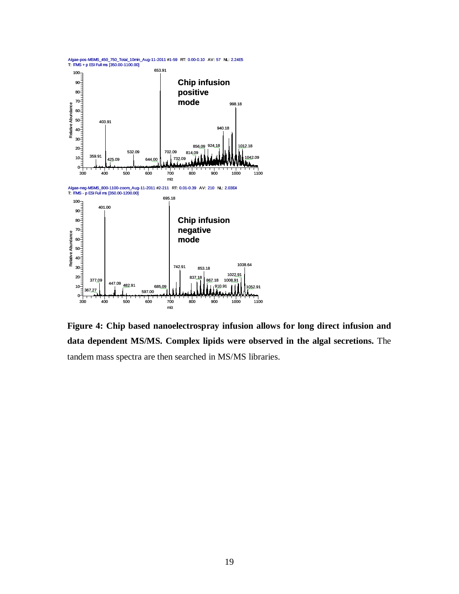

**Figure 4: Chip based nanoelectrospray infusion allows for long direct infusion and data dependent MS/MS. Complex lipids were observed in the algal secretions.** The tandem mass spectra are then searched in MS/MS libraries.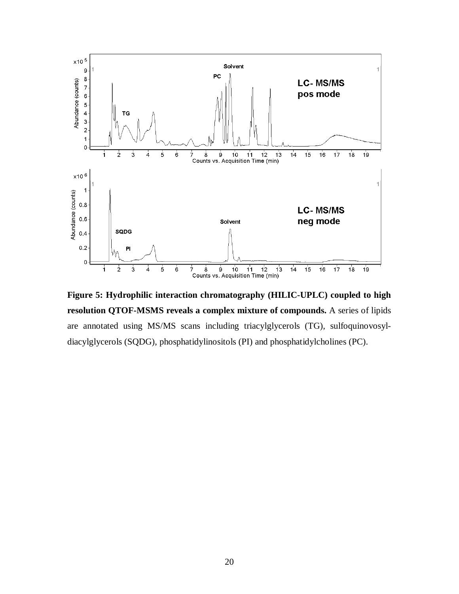

**Figure 5: Hydrophilic interaction chromatography (HILIC-UPLC) coupled to high resolution QTOF-MSMS reveals a complex mixture of compounds.** A series of lipids are annotated using MS/MS scans including triacylglycerols (TG), sulfoquinovosyldiacylglycerols (SQDG), phosphatidylinositols (PI) and phosphatidylcholines (PC).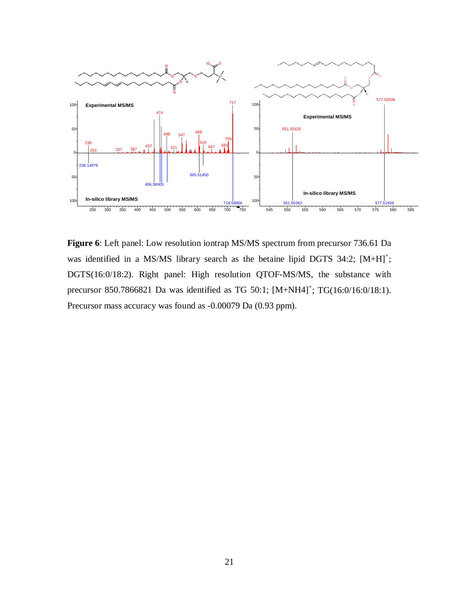

**Figure 6**: Left panel: Low resolution iontrap MS/MS spectrum from precursor 736.61 Da was identified in a MS/MS library search as the betaine lipid DGTS  $34:2$ ;  $[M+H]^+$ ; DGTS(16:0/18:2). Right panel: High resolution QTOF-MS/MS, the substance with precursor 850.7866821 Da was identified as TG 50:1; [M+NH4]<sup>+</sup>; TG(16:0/16:0/18:1). Precursor mass accuracy was found as -0.00079 Da (0.93 ppm).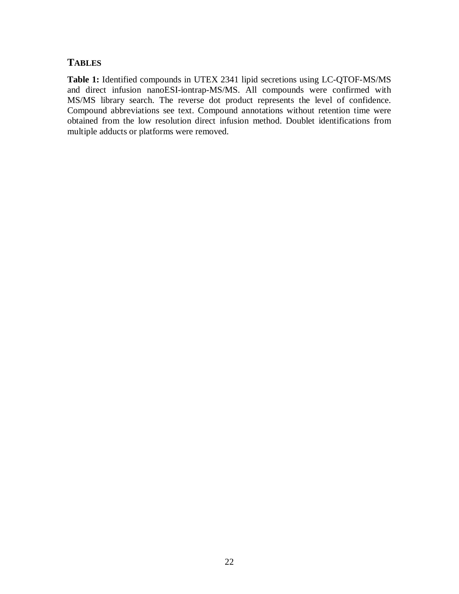## **TABLES**

**Table 1:** Identified compounds in UTEX 2341 lipid secretions using LC-QTOF-MS/MS and direct infusion nanoESI-iontrap-MS/MS. All compounds were confirmed with MS/MS library search. The reverse dot product represents the level of confidence. Compound abbreviations see text. Compound annotations without retention time were obtained from the low resolution direct infusion method. Doublet identifications from multiple adducts or platforms were removed.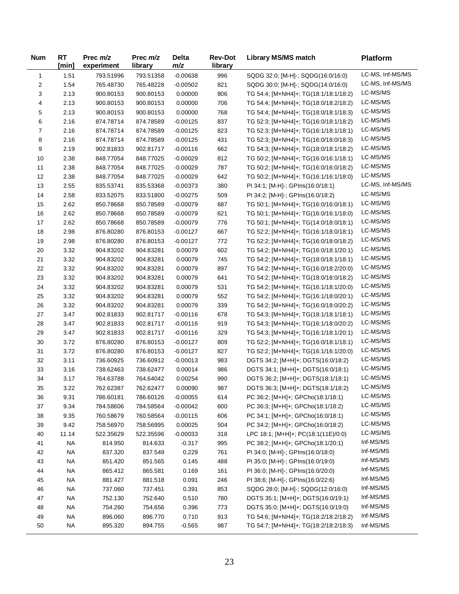| <b>Num</b> | <b>RT</b><br>[min] | Prec $m/z$<br>experiment | Prec $m/z$<br>library | <b>Delta</b><br>m/z | <b>Rev-Dot</b><br>library | <b>Library MS/MS match</b>            | <b>Platform</b>  |
|------------|--------------------|--------------------------|-----------------------|---------------------|---------------------------|---------------------------------------|------------------|
| 1          | 1.51               | 793.51996                | 793.51358             | $-0.00638$          | 996                       | SQDG 32:0; [M-H]-; SQDG(16:0/16:0)    | LC-MS, Inf-MS/MS |
| 2          | 1.54               | 765.48730                | 765.48228             | $-0.00502$          | 821                       | SQDG 30:0; [M-H]-; SQDG(14:0/16:0)    | LC-MS, Inf-MS/MS |
| 3          | 2.13               | 900.80153                | 900.80153             | 0.00000             | 806                       | TG 54:4; [M+NH4]+; TG(18:1/18:1/18:2) | LC-MS/MS         |
| 4          | 2.13               | 900.80153                | 900.80153             | 0.00000             | 706                       | TG 54:4; [M+NH4]+; TG(18:0/18:2/18:2) | LC-MS/MS         |
| 5          | 2.13               | 900.80153                | 900.80153             | 0.00000             | 768                       | TG 54:4; [M+NH4]+; TG(18:0/18:1/18:3) | LC-MS/MS         |
| 6          | 2.16               | 874.78714                | 874.78589             | $-0.00125$          | 837                       | TG 52:3; [M+NH4]+; TG(16:0/18:1/18:2) | LC-MS/MS         |
| 7          | 2.16               | 874.78714                | 874.78589             | $-0.00125$          | 823                       | TG 52:3; [M+NH4]+; TG(16:1/18:1/18:1) | LC-MS/MS         |
| 8          | 2.16               | 874.78714                | 874.78589             | $-0.00125$          | 431                       | TG 52:3; [M+NH4]+; TG(16:0/18:0/18:3) | LC-MS/MS         |
| 9          | 2.19               | 902.81833                | 902.81717             | $-0.00116$          | 662                       | TG 54:3; [M+NH4]+; TG(18:0/18:1/18:2) | LC-MS/MS         |
| 10         | 2.38               | 848.77054                | 848.77025             | $-0.00029$          | 812                       | TG 50:2; [M+NH4]+; TG(16:0/16:1/18:1) | LC-MS/MS         |
| 11         | 2.38               | 848.77054                | 848.77025             | $-0.00029$          | 787                       | TG 50:2; [M+NH4]+; TG(16:0/16:0/18:2) | LC-MS/MS         |
| 12         | 2.38               | 848.77054                | 848.77025             | $-0.00029$          | 642                       | TG 50:2; [M+NH4]+; TG(16:1/16:1/18:0) | LC-MS/MS         |
| 13         | 2.55               | 835.53741                | 835.53368             | $-0.00373$          | 380                       | PI 34:1; [M-H]-; GPIns(16:0/18:1)     | LC-MS, Inf-MS/MS |
| 14         | 2.58               | 833.52075                | 833.51800             | $-0.00275$          | 509                       | PI 34:2; [M-H]-; GPIns(16:0/18:2)     | LC-MS/MS         |
| 15         | 2.62               | 850.78668                | 850.78589             | $-0.00079$          | 687                       | TG 50:1; [M+NH4]+; TG(16:0/16:0/18:1) | LC-MS/MS         |
| 16         | 2.62               | 850.78668                | 850.78589             | $-0.00079$          | 621                       | TG 50:1; [M+NH4]+; TG(16:0/16:1/18:0) | LC-MS/MS         |
| 17         | 2.62               | 850.78668                | 850.78589             | $-0.00079$          | 776                       | TG 50:1; [M+NH4]+; TG(14:0/18:0/18:1) | LC-MS/MS         |
| 18         | 2.98               | 876.80280                | 876.80153             | $-0.00127$          | 667                       | TG 52:2; [M+NH4]+; TG(16:1/18:0/18:1) | LC-MS/MS         |
| 19         | 2.98               | 876.80280                | 876.80153             | -0.00127            | 772                       | TG 52:2; [M+NH4]+; TG(16:0/18:0/18:2) | LC-MS/MS         |
| 20         | 3.32               | 904.83202                | 904.83281             | 0.00079             | 602                       | TG 54:2; [M+NH4]+; TG(16:0/18:1/20:1) | LC-MS/MS         |
| 21         | 3.32               | 904.83202                | 904.83281             | 0.00079             | 745                       | TG 54:2; [M+NH4]+; TG(18:0/18:1/18:1) | LC-MS/MS         |
| 22         | 3.32               | 904.83202                | 904.83281             | 0.00079             | 897                       | TG 54:2; [M+NH4]+; TG(16:0/18:2/20:0) | LC-MS/MS         |
| 23         | 3.32               | 904.83202                | 904.83281             | 0.00079             | 641                       | TG 54:2; [M+NH4]+; TG(18:0/18:0/18:2) | LC-MS/MS         |
| 24         | 3.32               | 904.83202                | 904.83281             | 0.00079             | 531                       | TG 54:2; [M+NH4]+; TG(16:1/18:1/20:0) | LC-MS/MS         |
| 25         | 3.32               | 904.83202                | 904.83281             | 0.00079             | 552                       | TG 54:2; [M+NH4]+; TG(16:1/18:0/20:1) | LC-MS/MS         |
| 26         | 3.32               | 904.83202                | 904.83281             | 0.00079             | 339                       | TG 54:2; [M+NH4]+; TG(16:0/18:0/20:2) | LC-MS/MS         |
| 27         | 3.47               | 902.81833                | 902.81717             | $-0.00116$          | 678                       | TG 54:3; [M+NH4]+; TG(18:1/18:1/18:1) | LC-MS/MS         |
| 28         | 3.47               | 902.81833                | 902.81717             | $-0.00116$          | 919                       | TG 54:3; [M+NH4]+; TG(16:1/18:0/20:2) | LC-MS/MS         |
| 29         | 3.47               | 902.81833                | 902.81717             | $-0.00116$          | 329                       | TG 54:3; [M+NH4]+; TG(16:1/18:1/20:1) | LC-MS/MS         |
| 30         | 3.72               | 876.80280                | 876.80153             | $-0.00127$          | 809                       | TG 52:2; [M+NH4]+; TG(16:0/18:1/18:1) | LC-MS/MS         |
| 31         | 3.72               | 876.80280                | 876.80153             | $-0.00127$          | 827                       | TG 52:2; [M+NH4]+; TG(16:1/16:1/20:0) | LC-MS/MS         |
| 32         | 3.11               | 736.60925                | 736.60912             | $-0.00013$          | 983                       | DGTS 34:2; [M+H]+; DGTS(16:0/18:2)    | LC-MS/MS         |
| 33         | 3.16               | 738.62463                | 738.62477             | 0.00014             | 986                       | DGTS 34:1; [M+H]+; DGTS(16:0/18:1)    | LC-MS/MS         |
| 34         | 3.17               | 764.63788                | 764.64042             | 0.00254             | 990                       | DGTS 36:2; [M+H]+; DGTS(18:1/18:1)    | LC-MS/MS         |
| 35         | 3.22               | 762.62387                | 762.62477             | 0.00090             | 987                       | DGTS 36:3; [M+H]+; DGTS(18:1/18:2)    | LC-MS/MS         |
| 36         | 9.31               | 786.60181                | 786.60126             | $-0.00055$          | 614                       | PC 36:2; [M+H]+; GPCho(18:1/18:1)     | LC-MS/MS         |
| 37         | 9.34               | 784.58606                | 784.58564             | $-0.00042$          | 600                       | PC 36:3; [M+H]+; GPCho(18:1/18:2)     | LC-MS/MS         |
| 38         | 9.35               | 760.58679                | 760.58564             | $-0.00115$          | 606                       | PC 34:1; [M+H]+; GPCho(16:0/18:1)     | LC-MS/MS         |
| 39         | 9.42               | 758.56970                | 758.56995             | 0.00025             | 504                       | PC 34:2; [M+H]+; GPCho(16:0/18:2)     | LC-MS/MS         |
| 40         | 11.14              | 522.35629                | 522.35596             | $-0.00033$          | 318                       | LPC 18:1; [M+H]+; PC(18:1(11E)/0:0)   | LC-MS/MS         |
| 41         | <b>NA</b>          | 814.950                  | 814.633               | $-0.317$            | 995                       | PC 38:2; [M+H]+; GPCho(18:1/20:1)     | Inf-MS/MS        |
| 42         | <b>NA</b>          | 837.320                  | 837.549               | 0.229               | 761                       | PI 34:0; [M-H]-; GPIns(16:0/18:0)     | Inf-MS/MS        |
| 43         | <b>NA</b>          | 851.420                  | 851.565               | 0.145               | 488                       | PI 35:0; [M-H]-; GPIns(16:0/19:0)     | Inf-MS/MS        |
| 44         | <b>NA</b>          | 865.412                  | 865.581               | 0.169               | 161                       | PI 36:0; [M-H]-; GPIns(16:0/20:0)     | Inf-MS/MS        |
| 45         | <b>NA</b>          | 881.427                  | 881.518               | 0.091               | 246                       | PI 38:6; [M-H]-; GPIns(16:0/22:6)     | Inf-MS/MS        |
| 46         | <b>NA</b>          | 737.060                  | 737.451               | 0.391               | 853                       | SQDG 28:0; [M-H]-; SQDG(12:0/16:0)    | Inf-MS/MS        |
| 47         | <b>NA</b>          | 752.130                  | 752.640               | 0.510               | 780                       | DGTS 35:1; [M+H]+; DGTS(16:0/19:1)    | Inf-MS/MS        |
| 48         | <b>NA</b>          | 754.260                  | 754.656               | 0.396               | 773                       | DGTS 35:0; [M+H]+; DGTS(16:0/19:0)    | Inf-MS/MS        |
| 49         | <b>NA</b>          | 896.060                  | 896.770               | 0.710               | 913                       | TG 54:6; [M+NH4]+; TG(18:2/18:2/18:2) | Inf-MS/MS        |
| 50         | <b>NA</b>          | 895.320                  | 894.755               | $-0.565$            | 987                       | TG 54:7; [M+NH4]+; TG(18:2/18:2/18:3) | Inf-MS/MS        |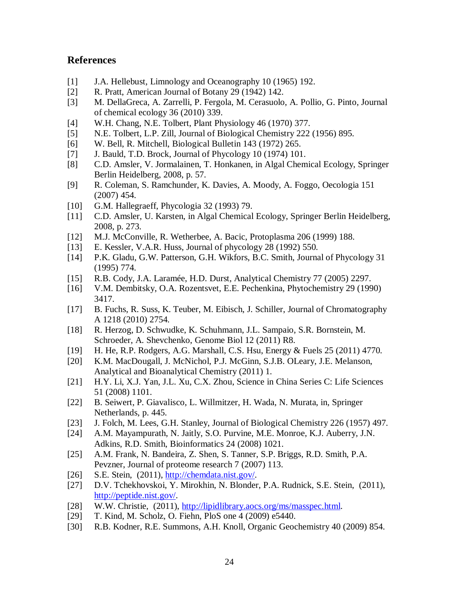## **References**

- [1] J.A. Hellebust, Limnology and Oceanography 10 (1965) 192.
- [2] R. Pratt, American Journal of Botany 29 (1942) 142.
- [3] M. DellaGreca, A. Zarrelli, P. Fergola, M. Cerasuolo, A. Pollio, G. Pinto, Journal of chemical ecology 36 (2010) 339.
- [4] W.H. Chang, N.E. Tolbert, Plant Physiology 46 (1970) 377.
- [5] N.E. Tolbert, L.P. Zill, Journal of Biological Chemistry 222 (1956) 895.
- [6] W. Bell, R. Mitchell, Biological Bulletin 143 (1972) 265.
- [7] J. Bauld, T.D. Brock, Journal of Phycology 10 (1974) 101.
- [8] C.D. Amsler, V. Jormalainen, T. Honkanen, in Algal Chemical Ecology, Springer Berlin Heidelberg, 2008, p. 57.
- [9] R. Coleman, S. Ramchunder, K. Davies, A. Moody, A. Foggo, Oecologia 151 (2007) 454.
- [10] G.M. Hallegraeff, Phycologia 32 (1993) 79.
- [11] C.D. Amsler, U. Karsten, in Algal Chemical Ecology, Springer Berlin Heidelberg, 2008, p. 273.
- [12] M.J. McConville, R. Wetherbee, A. Bacic, Protoplasma 206 (1999) 188.
- [13] E. Kessler, V.A.R. Huss, Journal of phycology 28 (1992) 550.
- [14] P.K. Gladu, G.W. Patterson, G.H. Wikfors, B.C. Smith, Journal of Phycology 31 (1995) 774.
- [15] R.B. Cody, J.A. Laramée, H.D. Durst, Analytical Chemistry 77 (2005) 2297.
- [16] V.M. Dembitsky, O.A. Rozentsvet, E.E. Pechenkina, Phytochemistry 29 (1990) 3417.
- [17] B. Fuchs, R. Suss, K. Teuber, M. Eibisch, J. Schiller, Journal of Chromatography A 1218 (2010) 2754.
- [18] R. Herzog, D. Schwudke, K. Schuhmann, J.L. Sampaio, S.R. Bornstein, M. Schroeder, A. Shevchenko, Genome Biol 12 (2011) R8.
- [19] H. He, R.P. Rodgers, A.G. Marshall, C.S. Hsu, Energy & Fuels 25 (2011) 4770.
- [20] K.M. MacDougall, J. McNichol, P.J. McGinn, S.J.B. OLeary, J.E. Melanson, Analytical and Bioanalytical Chemistry (2011) 1.
- [21] H.Y. Li, X.J. Yan, J.L. Xu, C.X. Zhou, Science in China Series C: Life Sciences 51 (2008) 1101.
- [22] B. Seiwert, P. Giavalisco, L. Willmitzer, H. Wada, N. Murata, in, Springer Netherlands, p. 445.
- [23] J. Folch, M. Lees, G.H. Stanley, Journal of Biological Chemistry 226 (1957) 497.
- [24] A.M. Mayampurath, N. Jaitly, S.O. Purvine, M.E. Monroe, K.J. Auberry, J.N. Adkins, R.D. Smith, Bioinformatics 24 (2008) 1021.
- [25] A.M. Frank, N. Bandeira, Z. Shen, S. Tanner, S.P. Briggs, R.D. Smith, P.A. Pevzner, Journal of proteome research 7 (2007) 113.
- [26] S.E. Stein, (2011), [http://chemdata.nist.gov/.](http://chemdata.nist.gov/)
- [27] D.V. Tchekhovskoi, Y. Mirokhin, N. Blonder, P.A. Rudnick, S.E. Stein, (2011), [http://peptide.nist.gov/.](http://peptide.nist.gov/)
- [28] W.W. Christie, (2011), [http://lipidlibrary.aocs.org/ms/masspec.html.](http://lipidlibrary.aocs.org/ms/masspec.html)
- [29] T. Kind, M. Scholz, O. Fiehn, PloS one 4 (2009) e5440.
- [30] R.B. Kodner, R.E. Summons, A.H. Knoll, Organic Geochemistry 40 (2009) 854.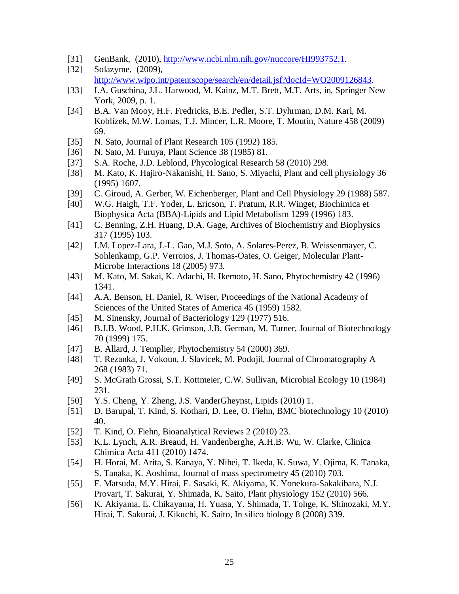- [31] GenBank, (2010), [http://www.ncbi.nlm.nih.gov/nuccore/HI993752.1.](http://www.ncbi.nlm.nih.gov/nuccore/HI993752.1)
- [32] Solazyme, (2009), [http://www.wipo.int/patentscope/search/en/detail.jsf?docId=WO2009126843.](http://www.wipo.int/patentscope/search/en/detail.jsf?docId=WO2009126843)
- [33] I.A. Guschina, J.L. Harwood, M. Kainz, M.T. Brett, M.T. Arts, in, Springer New York, 2009, p. 1.
- [34] B.A. Van Mooy, H.F. Fredricks, B.E. Pedler, S.T. Dyhrman, D.M. Karl, M. Koblízek, M.W. Lomas, T.J. Mincer, L.R. Moore, T. Moutin, Nature 458 (2009) 69.
- [35] N. Sato, Journal of Plant Research 105 (1992) 185.
- [36] N. Sato, M. Furuya, Plant Science 38 (1985) 81.
- [37] S.A. Roche, J.D. Leblond, Phycological Research 58 (2010) 298.
- [38] M. Kato, K. Hajiro-Nakanishi, H. Sano, S. Miyachi, Plant and cell physiology 36 (1995) 1607.
- [39] C. Giroud, A. Gerber, W. Eichenberger, Plant and Cell Physiology 29 (1988) 587.
- [40] W.G. Haigh, T.F. Yoder, L. Ericson, T. Pratum, R.R. Winget, Biochimica et Biophysica Acta (BBA)-Lipids and Lipid Metabolism 1299 (1996) 183.
- [41] C. Benning, Z.H. Huang, D.A. Gage, Archives of Biochemistry and Biophysics 317 (1995) 103.
- [42] I.M. Lopez-Lara, J.-L. Gao, M.J. Soto, A. Solares-Perez, B. Weissenmayer, C. Sohlenkamp, G.P. Verroios, J. Thomas-Oates, O. Geiger, Molecular Plant-Microbe Interactions 18 (2005) 973.
- [43] M. Kato, M. Sakai, K. Adachi, H. Ikemoto, H. Sano, Phytochemistry 42 (1996) 1341.
- [44] A.A. Benson, H. Daniel, R. Wiser, Proceedings of the National Academy of Sciences of the United States of America 45 (1959) 1582.
- [45] M. Sinensky, Journal of Bacteriology 129 (1977) 516.
- [46] B.J.B. Wood, P.H.K. Grimson, J.B. German, M. Turner, Journal of Biotechnology 70 (1999) 175.
- [47] B. Allard, J. Templier, Phytochemistry 54 (2000) 369.
- [48] T. Rezanka, J. Vokoun, J. Slavícek, M. Podojil, Journal of Chromatography A 268 (1983) 71.
- [49] S. McGrath Grossi, S.T. Kottmeier, C.W. Sullivan, Microbial Ecology 10 (1984) 231.
- [50] Y.S. Cheng, Y. Zheng, J.S. VanderGheynst, Lipids (2010) 1.
- [51] D. Barupal, T. Kind, S. Kothari, D. Lee, O. Fiehn, BMC biotechnology 10 (2010) 40.
- [52] T. Kind, O. Fiehn, Bioanalytical Reviews 2 (2010) 23.
- [53] K.L. Lynch, A.R. Breaud, H. Vandenberghe, A.H.B. Wu, W. Clarke, Clinica Chimica Acta 411 (2010) 1474.
- [54] H. Horai, M. Arita, S. Kanaya, Y. Nihei, T. Ikeda, K. Suwa, Y. Ojima, K. Tanaka, S. Tanaka, K. Aoshima, Journal of mass spectrometry 45 (2010) 703.
- [55] F. Matsuda, M.Y. Hirai, E. Sasaki, K. Akiyama, K. Yonekura-Sakakibara, N.J. Provart, T. Sakurai, Y. Shimada, K. Saito, Plant physiology 152 (2010) 566.
- [56] K. Akiyama, E. Chikayama, H. Yuasa, Y. Shimada, T. Tohge, K. Shinozaki, M.Y. Hirai, T. Sakurai, J. Kikuchi, K. Saito, In silico biology 8 (2008) 339.